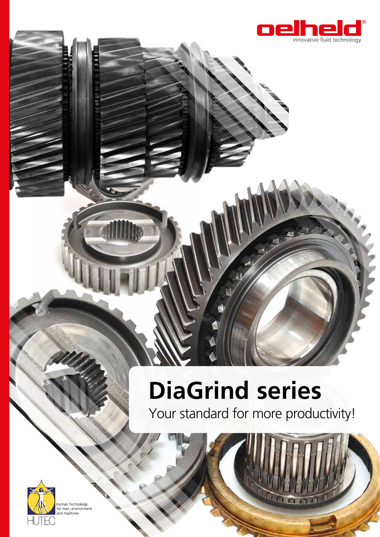

# **DiaGrind series**

Your standard for more productivity!

m



Human Technology<br>for man, environment<br>and machines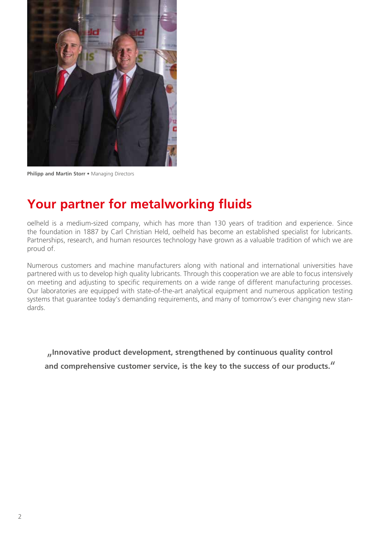

**Philipp and Martin Storr •** Managing Directors

#### **Your partner for metalworking fluids**

oelheld is a medium-sized company, which has more than 130 years of tradition and experience. Since the foundation in 1887 by Carl Christian Held, oelheld has become an established specialist for lubricants. Partnerships, research, and human resources technology have grown as a valuable tradition of which we are proud of.

Numerous customers and machine manufacturers along with national and international universities have partnered with us to develop high quality lubricants. Through this cooperation we are able to focus intensively on meeting and adjusting to specific requirements on a wide range of different manufacturing processes. Our laboratories are equipped with state-of-the-art analytical equipment and numerous application testing systems that guarantee today's demanding requirements, and many of tomorrow's ever changing new standards.

"**Innovative product development, strengthened by continuous quality control and comprehensive customer service, is the key to the success of our products.**"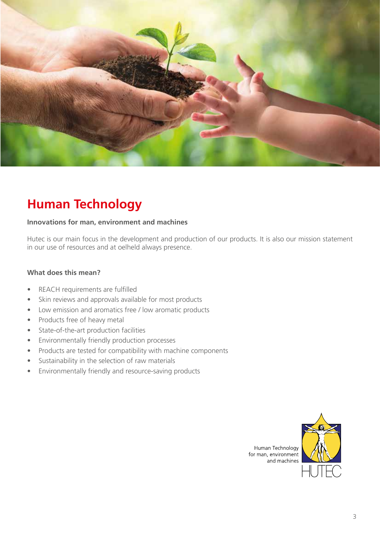

#### **Human Technology**

#### **Innovations for man, environment and machines**

Hutec is our main focus in the development and production of our products. It is also our mission statement in our use of resources and at oelheld always presence.

#### **What does this mean?**

- REACH requirements are fulfilled
- Skin reviews and approvals available for most products
- Low emission and aromatics free / low aromatic products
- Products free of heavy metal
- State-of-the-art production facilities
- Environmentally friendly production processes
- Products are tested for compatibility with machine components
- Sustainability in the selection of raw materials
- Environmentally friendly and resource-saving products

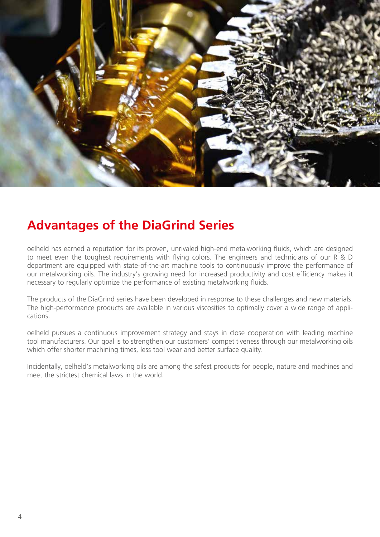

#### **Advantages of the DiaGrind Series**

oelheld has earned a reputation for its proven, unrivaled high-end metalworking fluids, which are designed to meet even the toughest requirements with flying colors. The engineers and technicians of our R & D department are equipped with state-of-the-art machine tools to continuously improve the performance of our metalworking oils. The industry's growing need for increased productivity and cost efficiency makes it necessary to regularly optimize the performance of existing metalworking fluids.

The products of the DiaGrind series have been developed in response to these challenges and new materials. The high-performance products are available in various viscosities to optimally cover a wide range of applications.

oelheld pursues a continuous improvement strategy and stays in close cooperation with leading machine tool manufacturers. Our goal is to strengthen our customers' competitiveness through our metalworking oils which offer shorter machining times, less tool wear and better surface quality.

Incidentally, oelheld's metalworking oils are among the safest products for people, nature and machines and meet the strictest chemical laws in the world.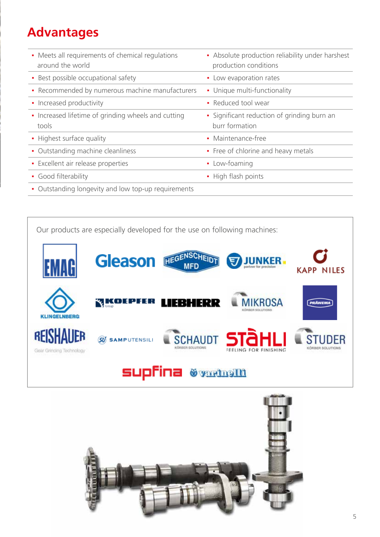# **Advantages**

| • Meets all requirements of chemical regulations<br>around the world | • Absolute production reliability under harshest<br>production conditions |
|----------------------------------------------------------------------|---------------------------------------------------------------------------|
| • Best possible occupational safety                                  | • Low evaporation rates                                                   |
| • Recommended by numerous machine manufacturers                      | • Unique multi-functionality                                              |
| • Increased productivity                                             | • Reduced tool wear                                                       |
| • Increased lifetime of grinding wheels and cutting<br>tools         | • Significant reduction of grinding burn an<br>burr formation             |
| • Highest surface quality                                            | • Maintenance-free                                                        |
| • Outstanding machine cleanliness                                    | • Free of chlorine and heavy metals                                       |
| • Excellent air release properties                                   | • Low-foaming                                                             |
| • Good filterability                                                 | • High flash points                                                       |
| • Outstanding longevity and low top-up requirements                  |                                                                           |

Our products are especially developed for the use on following machines: HEGENSCHEIDT **Gleason JUNKER** IAH **MFD KAPP NILES MIKROSA** *<u>RIKOEPFER LIEBHERR</u>* **PRÄWEMA** KLINGELNBERG REISHAUER **SCHAUDT STUDER**  $\widehat{\mathcal{G}}$  samputensili FEELING FOR FINISHING Gear Grinding Technology

**Supfina @varth@M**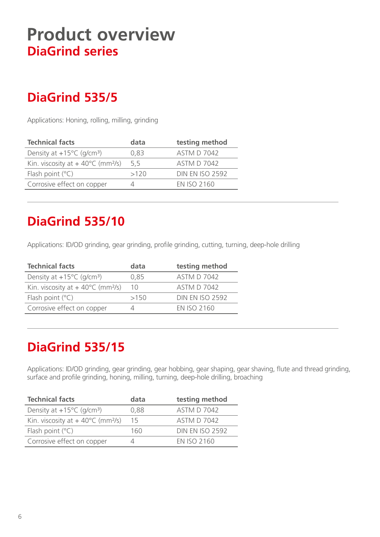# **Product overview DiaGrind series**

### **DiaGrind 535/5**

Applications: Honing, rolling, milling, grinding

| <b>Technical facts</b>                                 | data | testing method         |
|--------------------------------------------------------|------|------------------------|
| Density at $+15^{\circ}$ C (g/cm <sup>3</sup> )        | 0,83 | <b>ASTM D 7042</b>     |
| Kin. viscosity at $+40^{\circ}$ C (mm <sup>2</sup> /s) | 5,5  | <b>ASTM D 7042</b>     |
| Flash point $(°C)$                                     | >120 | <b>DIN EN ISO 2592</b> |
| Corrosive effect on copper                             |      | <b>FN ISO 2160</b>     |
|                                                        |      |                        |

# **DiaGrind 535/10**

Applications: ID/OD grinding, gear grinding, profile grinding, cutting, turning, deep-hole drilling

| <b>Technical facts</b>                                 | data     | testing method         |
|--------------------------------------------------------|----------|------------------------|
| Density at $+15^{\circ}$ C (g/cm <sup>3</sup> )        | 0,85     | <b>ASTM D 7042</b>     |
| Kin. viscosity at $+40^{\circ}$ C (mm <sup>2</sup> /s) | 10       | <b>ASTM D 7042</b>     |
| Flash point $(°C)$                                     | >150     | <b>DIN EN ISO 2592</b> |
| Corrosive effect on copper                             | $\angle$ | <b>FN ISO 2160</b>     |
|                                                        |          |                        |

#### **DiaGrind 535/15**

Applications: ID/OD grinding, gear grinding, gear hobbing, gear shaping, gear shaving, flute and thread grinding, surface and profile grinding, honing, milling, turning, deep-hole drilling, broaching

| <b>Technical facts</b>                                 | data | testing method         |
|--------------------------------------------------------|------|------------------------|
| Density at $+15^{\circ}$ C (g/cm <sup>3</sup> )        | 0,88 | <b>ASTM D 7042</b>     |
| Kin. viscosity at $+40^{\circ}$ C (mm <sup>2</sup> /s) | 15   | <b>ASTM D 7042</b>     |
| Flash point $(°C)$                                     | 160  | <b>DIN EN ISO 2592</b> |
| Corrosive effect on copper                             |      | <b>EN ISO 2160</b>     |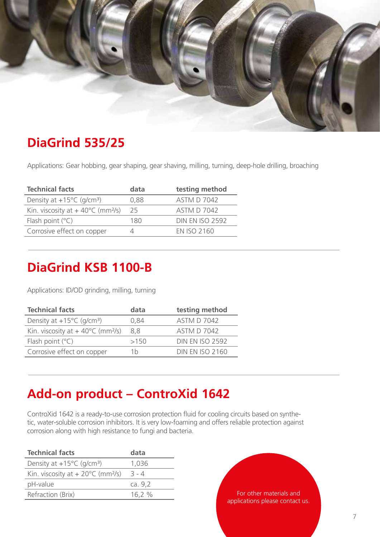

#### **DiaGrind 535/25**

Applications: Gear hobbing, gear shaping, gear shaving, milling, turning, deep-hole drilling, broaching

| <b>Technical facts</b>                                 | data | testing method         |
|--------------------------------------------------------|------|------------------------|
| Density at $+15^{\circ}$ C (g/cm <sup>3</sup> )        | 0,88 | <b>ASTM D 7042</b>     |
| Kin. viscosity at $+40^{\circ}$ C (mm <sup>2</sup> /s) | 25   | <b>ASTM D 7042</b>     |
| Flash point $(°C)$                                     | 180  | <b>DIN EN ISO 2592</b> |
| Corrosive effect on copper                             | Δ    | <b>FN ISO 2160</b>     |

#### **DiaGrind KSB 1100-B**

Applications: ID/OD grinding, milling, turning

| <b>Technical facts</b>                                 | data | testing method         |
|--------------------------------------------------------|------|------------------------|
| Density at $+15^{\circ}$ C (g/cm <sup>3</sup> )        | 0,84 | <b>ASTM D 7042</b>     |
| Kin. viscosity at $+40^{\circ}$ C (mm <sup>2</sup> /s) | 8.8  | <b>ASTM D 7042</b>     |
| Flash point $(°C)$                                     | >150 | <b>DIN EN ISO 2592</b> |
| Corrosive effect on copper                             | 1h   | <b>DIN EN ISO 2160</b> |

#### **Add-on product – ControXid 1642**

ControXid 1642 is a ready-to-use corrosion protection fluid for cooling circuits based on synthetic, water-soluble corrosion inhibitors. It is very low-foaming and offers reliable protection against corrosion along with high resistance to fungi and bacteria.

| <b>Technical facts</b>                                  | data     |
|---------------------------------------------------------|----------|
| Density at $+15^{\circ}$ C (g/cm <sup>3</sup> )         | 1,036    |
| Kin. viscosity at $+ 20^{\circ}$ C (mm <sup>2</sup> /s) | $-3 - 4$ |
| pH-value                                                | ca. 9.2  |
| Refraction (Brix)                                       | 16,2 %   |
|                                                         |          |

For other materials and applications please contact us.